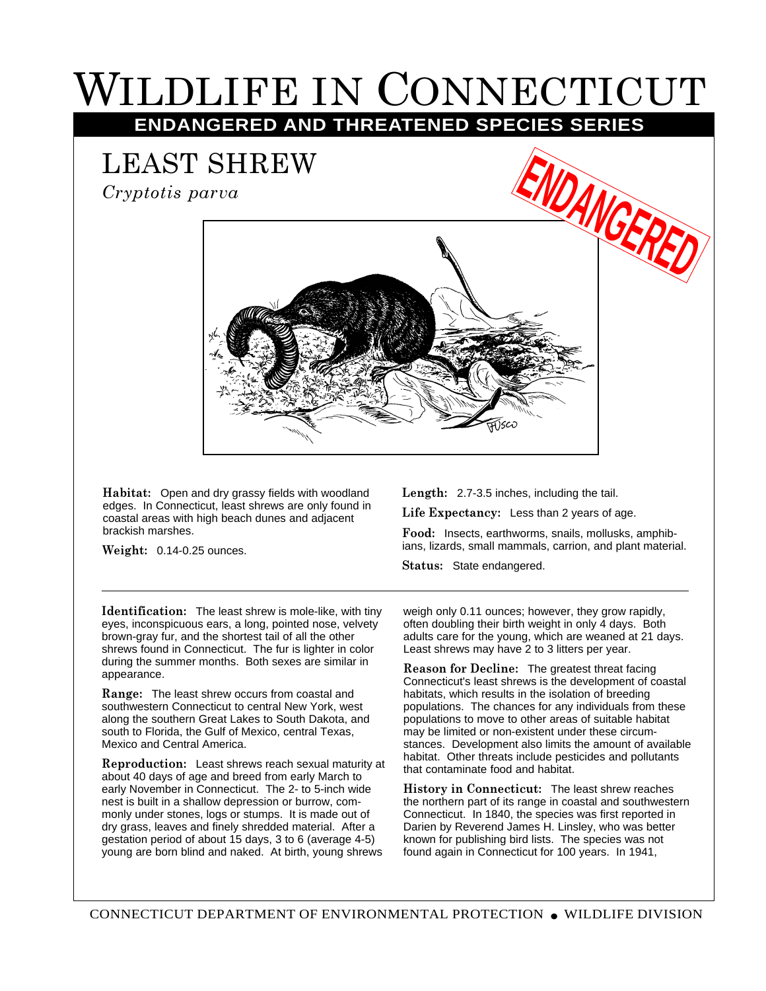## WILDLIFE IN CONNECTICUT **ENDANGERED AND THREATENED SPECIES SERIES**

LEAST SHREW *Cryptotis parva*



**Habitat:** Open and dry grassy fields with woodland edges. In Connecticut, least shrews are only found in coastal areas with high beach dunes and adjacent brackish marshes.

**Weight:** 0.14-0.25 ounces.

**Length:** 2.7-3.5 inches, including the tail.

**Life Expectancy:** Less than 2 years of age.

**Food:** Insects, earthworms, snails, mollusks, amphibians, lizards, small mammals, carrion, and plant material.

**Status:** State endangered.

**Identification:** The least shrew is mole-like, with tiny eyes, inconspicuous ears, a long, pointed nose, velvety brown-gray fur, and the shortest tail of all the other shrews found in Connecticut. The fur is lighter in color during the summer months. Both sexes are similar in appearance.

**Range:** The least shrew occurs from coastal and southwestern Connecticut to central New York, west along the southern Great Lakes to South Dakota, and south to Florida, the Gulf of Mexico, central Texas, Mexico and Central America.

**Reproduction:** Least shrews reach sexual maturity at about 40 days of age and breed from early March to early November in Connecticut. The 2- to 5-inch wide nest is built in a shallow depression or burrow, commonly under stones, logs or stumps. It is made out of dry grass, leaves and finely shredded material. After a gestation period of about 15 days, 3 to 6 (average 4-5) young are born blind and naked. At birth, young shrews

weigh only 0.11 ounces; however, they grow rapidly, often doubling their birth weight in only 4 days. Both adults care for the young, which are weaned at 21 days. Least shrews may have 2 to 3 litters per year.

**Reason for Decline:** The greatest threat facing Connecticut's least shrews is the development of coastal habitats, which results in the isolation of breeding populations. The chances for any individuals from these populations to move to other areas of suitable habitat may be limited or non-existent under these circumstances. Development also limits the amount of available habitat. Other threats include pesticides and pollutants that contaminate food and habitat.

**History in Connecticut:** The least shrew reaches the northern part of its range in coastal and southwestern Connecticut. In 1840, the species was first reported in Darien by Reverend James H. Linsley, who was better known for publishing bird lists. The species was not found again in Connecticut for 100 years. In 1941,

CONNECTICUT DEPARTMENT OF ENVIRONMENTAL PROTECTION ● WILDLIFE DIVISION